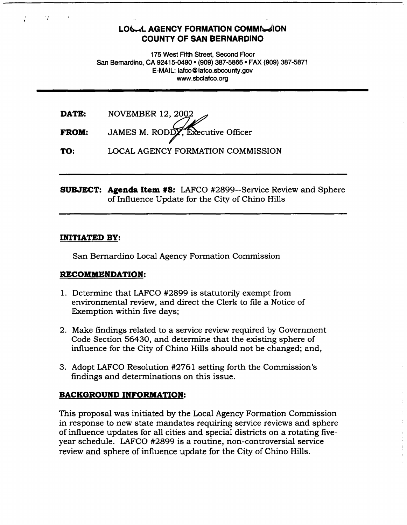## **LOGAL AGENCY FORMATION COMMISSION COUNTY OF SAN BERNARDINO**

175 West Fifth Street, Second Floor San Bernardino, CA 92415-0490 • (909) 387-5866 • FAX (909) 387-5871 E-MAIL: lafco@lafco.sbcounty.gov www.sbclafco.org

| DATE:        | NOVEMBER 12, 2002                 |
|--------------|-----------------------------------|
| <b>FROM:</b> | JAMES M. RODDY, Executive Officer |

**TO:**  LOCAL AGENCY FORMATION COMMISSION

**SUBJECT: Agenda Item #8:** LAFCO #2899--Service Review and Sphere of Influence Update for the City of Chino Hills

## **INITIATED BY:**

San Bernardino Local Agency Formation Commission

## **RECOMMENDATION:**

- 1. Determine that LAFCO #2899 is statutorily exempt from environmental review, and direct the Clerk to file a Notice of Exemption within five days;
- 2. Make findings related to a service review required by Government Code Section 56430, and determine that the existing sphere of influence for the City of Chino Hills should not be changed; and,
- 3. Adopt LAFCO Resolution #2761 setting forth the Commission's findings and determinations on this issue.

## **BACKGROUND INFORMATION:**

This proposal was initiated by the Local Agency Formation Commission in response to new state mandates requiring service reviews and sphere of influence updates for all cities and special districts on a rotating fiveyear schedule. LAFCO #2899 is a routine, non-controversial service review and sphere of influence update for the City of Chino Hills.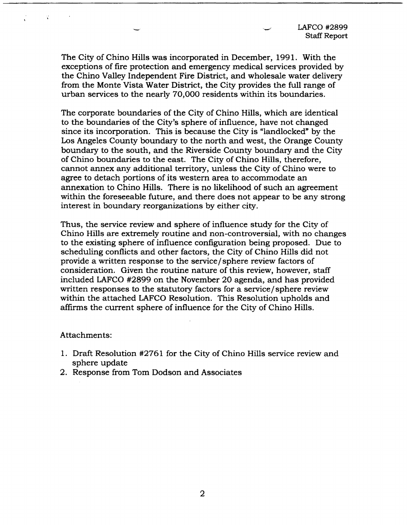LAFCO #2899 Staff Report

The City of Chino Hills was incorporated in December, 1991. With the exceptions of fire protection and emergency medical services provided by the Chino Valley Independent Fire District, and wholesale water delivery from the Monte Vista Water District, the City provides the full range of urban services to the nearly 70,000 residents within its boundaries.

The corporate boundaries of the City of Chino Hills, which are identical to the boundaries of the City's sphere of influence, have not changed since its incorporation. This is because the City is "landlocked" by the Los Angeles County boundary to the north and west, the Orange County boundary to the south, and the Riverside County boundary and the City of Chino boundaries to the east. The City of Chino Hills, therefore, cannot annex any additional territory, unless the City of Chino were to agree to detach portions of its western area to accommodate an annexation to Chino Hills. There is no likelihood of such an agreement within the foreseeable future, and there does not appear to be any strong interest in boundary reorganizations by either city.

Thus, the service review and sphere of influence study for the City of Chino Hills are extremely routine and non-controversial, with no changes to the existing sphere of influence configuration being proposed. Due to scheduling conflicts and other factors, the City of Chino Hills did not provide a written response to the service/ sphere review factors of consideration. Given the routine nature of this review, however, staff included LAFCO #2899 on the November 20 agenda, and has provided written responses to the statutory factors for a service/ sphere review within the attached LAFCO Resolution. This Resolution upholds and affirms the current sphere of influence for the City of Chino Hills.

Attachments:

- 1. Draft Resolution #2761 for the City of Chino Hills service review and sphere update
- 2. Response from Tom Dodson and Associates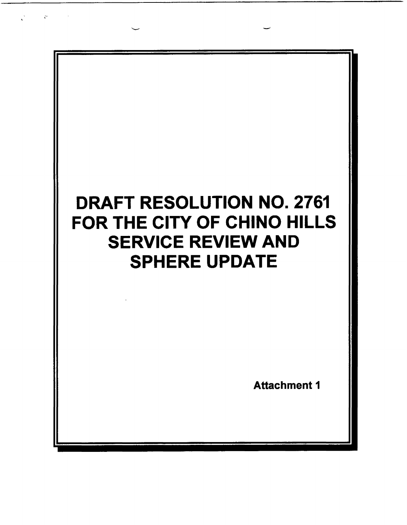

 $\mathcal{C}^{\pm}$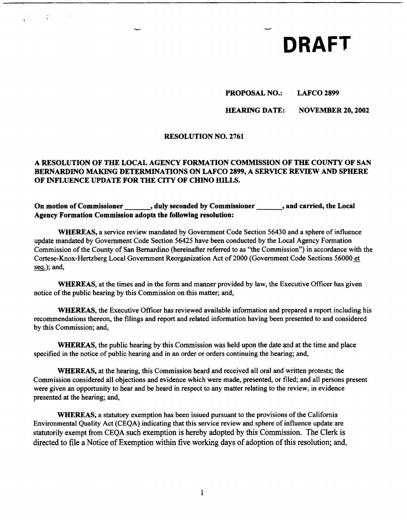# - **DRAFT**

## **PROPOSAL NO.: LAFCO 2899**

## **HEARING DATE: NOVEMBER 20, 2002**

#### **RESOLUTION NO. 2761**

## **A RESOLUTION OF THE LOCAL AGENCY FORMATION COMMISSION OF THE COUNTY OF SAN BERNARDINO MAKING DETERMINATIONS ON LAFCO 2899, A SERVICE REVIEW AND SPHERE OF INFLUENCE UPDATE FOR THE** CITY **OF CHINO HILLS.**

On motion of Commissioner , duly seconded by Commissioner , and carried, the Local **Agency Formation Commission adopts the following resolution:** 

**WHEREAS,** a service review mandated by Government Code Section 56430 and a sphere of influence update mandated by Government Code Section 56425 have been conducted by the Local Agency Formation Commission of the County of San Bernardino (hereinafter referred to as ''the Commission") in accordance with the Cortese-Knox-Hertzberg Local Government Reorganization Act of2000 (Government Code Sections 56000 et seq.); and,

**WHEREAS,** at the times and in the form and manner provided by law, the Executive Officer has given notice of the public hearing by this Commission on this matter; and,

**WHEREAS,** the Executive Officer has reviewed available information and prepared a report including his recommendations thereon, the filings and report and related information having been presented to and considered by this Commission; and,

**WHEREAS,** the public hearing by this Commission was held upon the date and at the time and place specified in the notice of public hearing and in an order or orders continuing the hearing; and,

**WHEREAS,** at the hearing, this Commission heard and received all oral and written protests; the Commission considered all objections and evidence which were made, presented, or filed; and all persons present were given an opportunity to hear and be heard in respect to any matter relating to the review, in evidence presented at the hearing; and,

**WHEREAS,** a statutory exemption has been issued pursuant to the provisions of the California Environmental Quality Act (CEQA) indicating that this service review and sphere of influence update are statutorily exempt from CEQA such exemption is hereby adopted by this Commission. The Clerk is directed to file a Notice of Exemption within five working days of adoption of this resolution; and,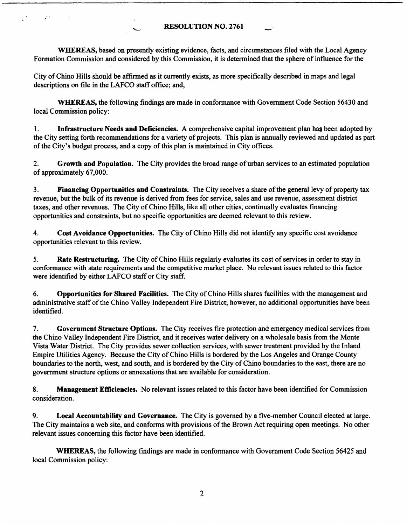## **RESOLUTION NO. 2761** -

**WHEREAS,** based on presently existing evidence, facts, and circumstances filed with the Local Agency Formation Commission and considered by this Commission, it is determined that the sphere of influence for the

City of Chino Hills should be affirmed as it currently exists, as more specifically described in maps and legal descriptions on file in the LAFCO staff office; and,

P.

**WHEREAS,** the following findings are made in conformance with Government Code Section 56430 and local Commission policy:

1. **Infrastructure Needs and Deficiencies.** A comprehensive capital improvement plan has been adopted by the City setting forth recommendations for a variety of projects. This plan is annually reviewed and updated as part of the City's budget process, and a copy of this plan is maintained in City offices.

2. **Growth and Population.** The City provides the broad range of urban services to an estimated population of approximately 67,000.

3. **Financing Opportunities and Constraints.** The City receives a share of the general levy of property tax revenue, but the bulk of its revenue is derived from fees for service, sales and use revenue, assessment district taxes, and other revenues. The City of Chino Hills, like all other cities, continually evaluates financing opportunities and constraints, but no specific opportunities are deemed relevant to this review.

4. **Cost Avoidance Opportunities.** The City of Chino Hills did not identify any specific cost avoidance opportunities relevant to this review.

5. **Rate Restructuring.** The City of Chino Hills regularly evaluates its cost of services in order to stay in conformance with state requirements and the competitive market place. No relevant issues related to this factor were identified by either LAFCO staff or City staff.

6. **Opportunities for Shared Facilities.** The City of Chino Hills shares facilities with the management and administrative staff of the Chino Valley Independent Fire District; however, no additional opportunities have been identified.

7. **Government Structure Options.** The City receives fire protection and emergency medical services from the Chino Valley Independent Fire District, and it receives water delivery on a wholesale basis from the Monte Vista Water District. The City provides sewer collection services, with sewer treatment provided by the Inland Empire Utilities Agency. Because the City of Chino Hills is bordered by the Los Angeles and Orange County boundaries to the north, west, and south, and is bordered by the City of Chino boundaries to the east, there are no government structure options or annexations that are available for consideration.

**8. Management Efficiencies.** No relevant issues related to this factor have been identified for Commission consideration.

9. **Local Accountability and Governance.** The City is governed by a five-member Council elected at large. The City maintains a web site, and conforms with provisions of the Brown Act requiring open meetings. No other relevant issues concerning this factor have been identified.

**WHEREAS,** the following findings are made in conformance with Government Code Section 56425 and local Commission policy: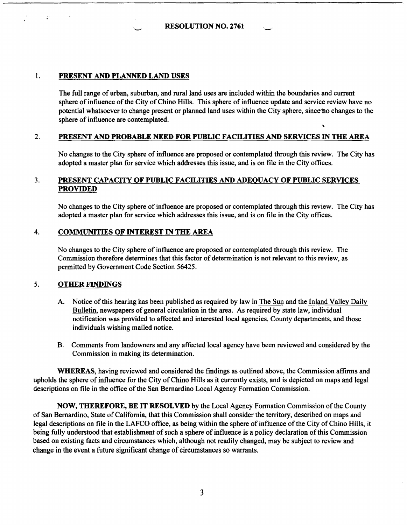**RESOLUTION NO. 2761** 

### 1. **PRESENT AND PLANNED LAND USES**

The full range of urban, suburban, and rural land uses are included within the boundaries and current sphere of influence of the City of Chino Hills. This sphere of influence update and service review have no potential whatsoever to change present or planned land uses within the City sphere, since no changes to the sphere of influence are contemplated.

## 2. **PRESENT AND PROBABLE NEED FOR PUBLIC FACILITIES AND SERVICES IN THE AREA**

No changes to the City sphere of influence are proposed or contemplated through this review. The City has adopted a master plan for service which addresses this issue, and is on file in the City offices.

## 3. **PRESENT CAPACITY OF PUBLIC FACILITIES AND ADEQUACY OF PUBLIC SERVICES PROVIDED**

No changes to the City sphere of influence are proposed or contemplated through this review. The City has adopted a master plan for service which addresses this issue, and is on file in the City offices.

## 4. **COMMUNITIES OF INTEREST** IN **THE AREA**

No changes to the City sphere of influence are proposed or contemplated through this review. The Commission therefore determines that this factor of determination is not relevant to this review, as permitted by Government Code Section 56425.

#### 5. **OTHER FINDINGS**

- A. Notice of this hearing has been published as required by law in The Sun and the Inland Valley Daily Bulletin, newspapers of general circulation in the area. As required by state law, individual notification was provided to affected and interested local agencies, County departments, and those individuals wishing mailed notice.
- B. Comments from landowners and any affected local agency have been reviewed and considered by the Commission in making its determination.

**WHEREAS,** having reviewed and considered the findings as outlined above, the Commission affirms and upholds the sphere of influence for the City of Chino Hills as it currently exists, and is depicted on maps and legal descriptions on file in the office of the San Bernardino Local Agency Formation Commission.

**NOW, mEREFORE, BE** IT **RESOLVED** by the Local Agency Formation Commission of the County of San Bernardino, State of California, that this Commission shall consider the territory, described on maps and legal descriptions on file in the LAFCO office, as being within the sphere of influence of the City of Chino Hills, it being fully understood that establishment of such a sphere of influence is a policy declaration of this Commission based on existing facts and circumstances which, although not readily changed, may be subject to review and change in the event a future significant change of circumstances so warrants.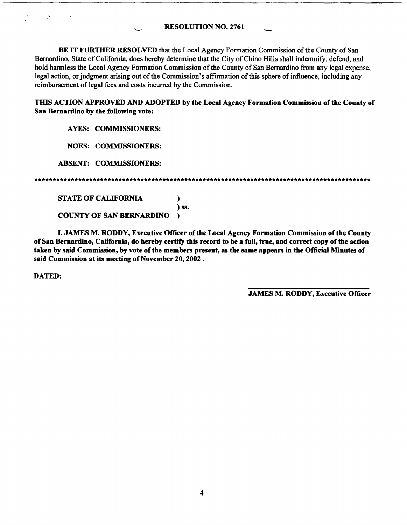**RESOLUTION NO. 2761** 

BE IT **FURTHER RESOLVED** that the Local Agency Formation Commission of the County of San Bernardino, State of California, does hereby determine that the City of Chino Hills shall indemnify, defend, and hold harmless the Local Agency Formation Commission of the County of San Bernardino from any legal expense, legal action, or judgment arising out of the Commission's affirmation of this sphere of influence, including any reimbursement of legal fees and costs incurred by the Commission.

**THIS ACTION APPROVED AND ADOPTED by the Local Agency Formation Commission of the County of San Bemanlino by the following vote:** 

**AYES: COMMISSIONERS:** 

**NOES: COMMISSIONERS:** 

**ABSENT: COMMISSIONERS:** 

\*\*\*\*\*\*\*\*\*\*\*\*\*\*\*\*\*\*\*\*\*\*\*\*\*\*\*\*\*\*\*\*\*\*\*\*\*\*\*\*\*\*\*\*\*\*\*\*\*\*\*\*\*\*\*\*\*\*\*\*\*\*\*\*\*\*\*\*\*\*\*\*\*\*\*\*\*\*\*\*\*\*\*\*\*\*\*\*\*\*\*\*

) **ss.** 

**STATE OF CALIFORNIA** )

**COUNTY OF SAN BERNARDINO** )

I, **JAMES M. RODDY, Executive Officer of the Local Agency Formation Commission of the County of San Bemanlino, California, do hereby certify this record to be a full, true, and correct copy of the action taken by said Commission, by vote of the members present, as the same appears in the Official Minutes of said Commission at its meeting of November 20, 2002** .

**DATED:** 

 $\ddot{\cdot}$ 

**JAMES M. RODDY, Executive Officer**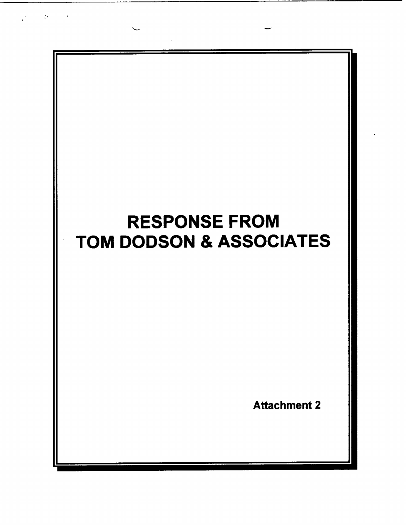

 $\mathcal{C}^{\mathcal{C}}$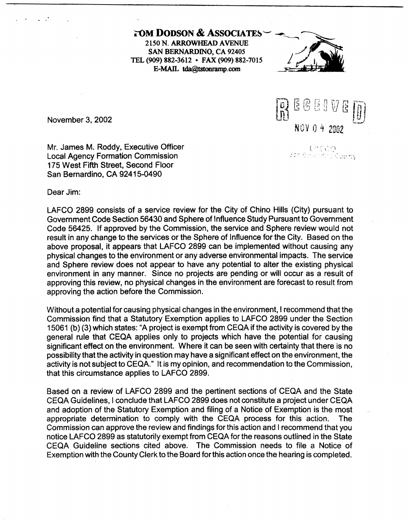**WOM DODSON & ASSOCIATES** 2150 **N. ARROWHEAD A VENUE SAN BERNARDINO, CA 92405 TEL (909) 882-3612** • **FAX (909) 882-7015** *j*  E-MAIL tda@tstonramp.com





<sup>~</sup>.. .,. "'' . - ., . .\_.' ' *<sup>j</sup>*

November 3, 2002

Mr. James M. Roddy, Executive Officer Local Agency Formation Commission 175 West Fifth Street, Second Floor San Bernardino, CA 92415-0490

Dear Jim:

LAFCO 2899 consists of a service review for the City of Chino Hills (City) pursuant to Government Code Section 56430 and Sphere of Influence Study Pursuant to Government Code 56425. If approved by the Commission, the service and Sphere review would not result in any change to the services or the Sphere of Influence for the City. Based on the above proposal, it appears that LAFCO 2899 can be implemented without causing any physical changes to the environment or any adverse environmental impacts. The service and Sphere review does not appear to have any potential to alter the existing physical environment in any manner. Since no projects are pending or will occur as a result of approving this review, no physical changes in the environment are forecast to result from approving the action before the Commission.

Without a potential for causing physical changes in the environment, I recommend that the Commission find that a Statutory Exemption applies to LAFCO 2899 under the Section 15061 (b) (3) which states: "A project is exempt from CEQA if the activity is covered by the general rule that CEQA applies only to projects which have the potential for causing significant effect on the environment. Where it can be seen with certainty that there is no possibility that the activity in question may have a significant effect on the environment, the activity is not subject to CEQA." 1t is my opinion, and recommendation to the Commission, that this circumstance applies to LAFCO 2899.

Based on a review of LAFCO 2899 and the pertinent sections of CEQA and the State CEQA Guidelines, I conclude that LAFCO 2899 does not constitute a project under CEQA and adoption of the Statutory Exemption and filing of a Notice of Exemption is the most appropriate determination to comply with the CEQA process for this action. The Commission can approve the review and findings for this action and I recommend that you notice LAFCO 2899 as statutorily exempt from CEQA for the reasons outlined in the State CEQA Guideline sections cited above. The Commission needs to file a Notice of Exemption with the County Clerk to the Board for this action once the hearing is completed.